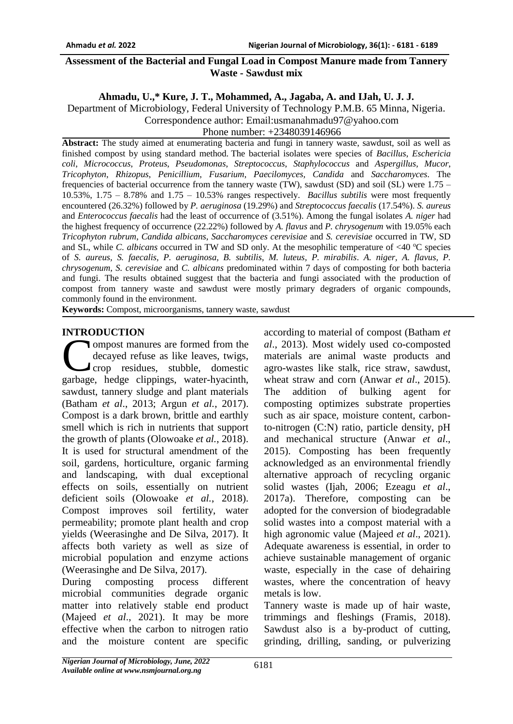#### **Assessment of the Bacterial and Fungal Load in Compost Manure made from Tannery Waste - Sawdust mix**

### **Ahmadu, U.,\* Kure, J. T., Mohammed, A., Jagaba, A. and IJah, U. J. J.**

Department of Microbiology, Federal University of Technology P.M.B. 65 Minna, Nigeria.

Correspondence author: Email:usmanahmadu97@yahoo.com

Phone number: +2348039146966

**Abstract:** The study aimed at enumerating bacteria and fungi in tannery waste, sawdust, soil as well as finished compost by using standard method. The bacterial isolates were species of *Bacillus*, *Eschericia coli*, *Micrococcus*, *Proteus*, *Pseudomonas*, *Streptococcus*, *Staphylococcus* and *Aspergillus, Mucor*, *Tricophyton*, *Rhizopus*, *Penicillium*, *Fusarium*, *Paecilomyces, Candida* and *Saccharomyces*. The frequencies of bacterial occurrence from the tannery waste (TW), sawdust (SD) and soil (SL) were 1.75 – 10.53%, 1.75 – 8.78% and 1.75 – 10.53% ranges respectively. *Bacillus subtilis* were most frequently encountered (26.32%) followed by *P. aeruginosa* (19.29%) and *Streptococcus faecalis* (17.54%). *S. aureus*  and *Enterococcus faecalis* had the least of occurrence of (3.51%). Among the fungal isolates *A. niger* had the highest frequency of occurrence (22.22%) followed by *A. flavus* and *P. chrysogenum* with 19.05% each *Tricophyton rubrum*, *Candida albicans*, *Saccharomyces cerevisiae* and *S. cerevisiae* occurred in TW, SD and SL, while *C. albicans* occurred in TW and SD only. At the mesophilic temperature of <40 °C species of *S. aureus, S. faecalis, P. aeruginosa, B. subtilis, M. luteus, P. mirabilis*. *A. niger, A. flavus, P. chrysogenum, S. cerevisiae* and *C. albicans* predominated within 7 days of composting for both bacteria and fungi. The results obtained suggest that the bacteria and fungi associated with the production of compost from tannery waste and sawdust were mostly primary degraders of organic compounds, commonly found in the environment.

**Keywords:** Compost, microorganisms, tannery waste, sawdust

## **INTRODUCTION**

ompost manures are formed from the decayed refuse as like leaves, twigs, crop residues, stubble, domestic most manures are formed from the<br>decayed refuse as like leaves, twigs,<br>crop residues, stubble, domestic<br>garbage, hedge clippings, water-hyacinth, sawdust, tannery sludge and plant materials (Batham *et al*., 2013; Argun *et al.*, 2017). Compost is a dark brown, brittle and earthly smell which is rich in nutrients that support the growth of plants (Olowoake *et al.*, 2018). It is used for structural amendment of the soil, gardens, horticulture, organic farming and landscaping, with dual exceptional effects on soils, essentially on nutrient deficient soils (Olowoake *et al.*, 2018). Compost improves soil fertility, water permeability; promote plant health and crop yields (Weerasinghe and De Silva, 2017). It affects both variety as well as size of microbial population and enzyme actions (Weerasinghe and De Silva, 2017).

During composting process different microbial communities degrade organic matter into relatively stable end product (Majeed *et al*., 2021). It may be more effective when the carbon to nitrogen ratio and the moisture content are specific

according to material of compost (Batham *et al*., 2013). Most widely used co-composted materials are animal waste products and agro-wastes like stalk, rice straw, sawdust, wheat straw and corn (Anwar *et al*., 2015). The addition of bulking agent for composting optimizes substrate properties such as air space, moisture content, carbonto-nitrogen (C:N) ratio, particle density, pH and mechanical structure (Anwar *et al*., 2015). Composting has been frequently acknowledged as an environmental friendly alternative approach of recycling organic solid wastes (Ijah, 2006; Ezeagu *et al*., 2017a). Therefore, composting can be adopted for the conversion of biodegradable solid wastes into a compost material with a high agronomic value (Majeed *et al*., 2021). Adequate awareness is essential, in order to achieve sustainable management of organic waste, especially in the case of dehairing wastes, where the concentration of heavy metals is low.

Tannery waste is made up of hair waste, trimmings and fleshings (Framis, 2018). Sawdust also is a by-product of cutting, grinding, drilling, sanding, or pulverizing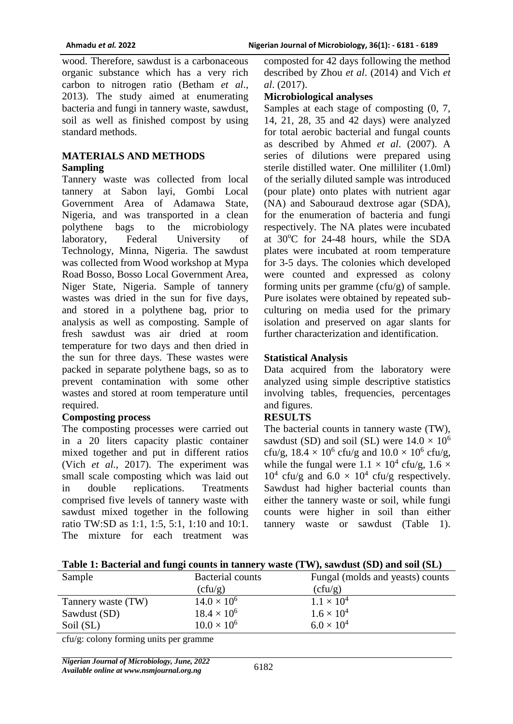wood. Therefore, sawdust is a carbonaceous organic substance which has a very rich carbon to nitrogen ratio (Betham *et al*., 2013). The study aimed at enumerating bacteria and fungi in tannery waste, sawdust, soil as well as finished compost by using standard methods.

## **MATERIALS AND METHODS Sampling**

Tannery waste was collected from local tannery at Sabon layi, Gombi Local Government Area of Adamawa State, Nigeria, and was transported in a clean polythene bags to the microbiology laboratory, Federal University of Technology, Minna, Nigeria. The sawdust was collected from Wood workshop at Mypa Road Bosso, Bosso Local Government Area, Niger State, Nigeria. Sample of tannery wastes was dried in the sun for five days, and stored in a polythene bag, prior to analysis as well as composting. Sample of fresh sawdust was air dried at room temperature for two days and then dried in the sun for three days. These wastes were packed in separate polythene bags, so as to prevent contamination with some other wastes and stored at room temperature until required.

### **Composting process**

The composting processes were carried out in a 20 liters capacity plastic container mixed together and put in different ratios (Vich *et al.*, 2017). The experiment was small scale composting which was laid out in double replications. Treatments comprised five levels of tannery waste with sawdust mixed together in the following ratio TW:SD as 1:1, 1:5, 5:1, 1:10 and 10:1. The mixture for each treatment was

composted for 42 days following the method described by Zhou *et al*. (2014) and Vich *et al*. (2017).

#### **Microbiological analyses**

Samples at each stage of composting (0, 7, 14, 21, 28, 35 and 42 days) were analyzed for total aerobic bacterial and fungal counts as described by Ahmed *et al*. (2007). A series of dilutions were prepared using sterile distilled water. One milliliter (1.0ml) of the serially diluted sample was introduced (pour plate) onto plates with nutrient agar (NA) and Sabouraud dextrose agar (SDA), for the enumeration of bacteria and fungi respectively. The NA plates were incubated at 30<sup>o</sup>C for 24-48 hours, while the SDA plates were incubated at room temperature for 3-5 days. The colonies which developed were counted and expressed as colony forming units per gramme (cfu/g) of sample. Pure isolates were obtained by repeated subculturing on media used for the primary isolation and preserved on agar slants for further characterization and identification.

### **Statistical Analysis**

Data acquired from the laboratory were analyzed using simple descriptive statistics involving tables, frequencies, percentages and figures.

### **RESULTS**

The bacterial counts in tannery waste (TW), sawdust (SD) and soil (SL) were  $14.0 \times 10^6$ cfu/g,  $18.4 \times 10^6$  cfu/g and  $10.0 \times 10^6$  cfu/g, while the fungal were  $1.1 \times 10^4$  cfu/g,  $1.6 \times$  $10^4$  cfu/g and  $6.0 \times 10^4$  cfu/g respectively. Sawdust had higher bacterial counts than either the tannery waste or soil, while fungi counts were higher in soil than either tannery waste or sawdust (Table 1).

|  |  |  |  | Table 1: Bacterial and fungi counts in tannery waste (TW), sawdust (SD) and soil (SL) |  |
|--|--|--|--|---------------------------------------------------------------------------------------|--|
|  |  |  |  |                                                                                       |  |

| Sample                      | <b>Bacterial counts</b> | Fungal (molds and yeasts) counts |
|-----------------------------|-------------------------|----------------------------------|
|                             | (cfu/g)                 | (cfu/g)                          |
| Tannery waste (TW)          | $14.0 \times 10^{6}$    | $1.1 \times 10^{4}$              |
| Sawdust (SD)                | $18.4 \times 10^{6}$    | $1.6 \times 10^{4}$              |
| Soil (SL)                   | $10.0 \times 10^6$      | $6.0 \times 10^{4}$              |
| $\sim$ $\sim$ $\sim$ $\sim$ |                         |                                  |

cfu/g: colony forming units per gramme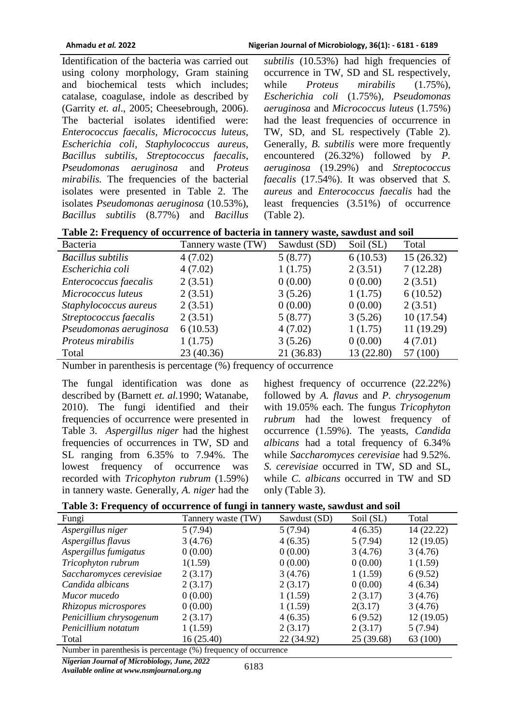Identification of the bacteria was carried out using colony morphology, Gram staining and biochemical tests which includes; catalase, coagulase, indole as described by (Garrity *et. al*., 2005; Cheesebrough, 2006). The bacterial isolates identified were: *Enterococcus faecalis, Micrococcus luteus, Escherichia coli, Staphylococcus aureus, Bacillus subtilis, Streptococcus faecalis, Pseudomonas aeruginosa* and *Proteus mirabilis.* The frequencies of the bacterial isolates were presented in Table 2. The isolates *Pseudomonas aeruginosa* (10.53%), *Bacillus subtilis* (8.77%) and *Bacillus* 

*subtilis* (10.53%) had high frequencies of occurrence in TW, SD and SL respectively, while *Proteus mirabilis*  $(1.75\%)$ , *Escherichia coli* (1.75%), *Pseudomonas aeruginosa* and *Micrococcus luteus* (1.75%) had the least frequencies of occurrence in TW, SD, and SL respectively (Table 2). Generally, *B. subtilis* were more frequently encountered (26.32%) followed by *P. aeruginosa* (19.29%) and *Streptococcus faecalis* (17.54%). It was observed that *S. aureus* and *Enterococcus faecalis* had the least frequencies (3.51%) of occurrence (Table 2).

**Table 2: Frequency of occurrence of bacteria in tannery waste, sawdust and soil** 

| Bacteria                 | Tannery waste (TW) | Sawdust (SD) | Soil (SL)  | Total      |
|--------------------------|--------------------|--------------|------------|------------|
| <b>Bacillus</b> subtilis | 4(7.02)            | 5(8.77)      | 6(10.53)   | 15(26.32)  |
| Escherichia coli         | 4(7.02)            | 1(1.75)      | 2(3.51)    | 7(12.28)   |
| Enterococcus faecalis    | 2(3.51)            | 0(0.00)      | 0(0.00)    | 2(3.51)    |
| Micrococcus luteus       | 2(3.51)            | 3(5.26)      | 1(1.75)    | 6(10.52)   |
| Staphylococcus aureus    | 2(3.51)            | 0(0.00)      | 0(0.00)    | 2(3.51)    |
| Streptococcus faecalis   | 2(3.51)            | 5(8.77)      | 3(5.26)    | 10(17.54)  |
| Pseudomonas aeruginosa   | 6(10.53)           | 4(7.02)      | 1(1.75)    | 11 (19.29) |
| Proteus mirabilis        | 1(1.75)            | 3(5.26)      | 0(0.00)    | 4(7.01)    |
| Total                    | 23 (40.36)         | 21 (36.83)   | 13 (22.80) | 57 (100)   |

Number in parenthesis is percentage (%) frequency of occurrence

The fungal identification was done as described by (Barnett *et. al.*1990; Watanabe, 2010). The fungi identified and their frequencies of occurrence were presented in Table 3. *Aspergillus niger* had the highest frequencies of occurrences in TW, SD and SL ranging from 6.35% to 7.94%. The lowest frequency of occurrence was recorded with *Tricophyton rubrum* (1.59%) in tannery waste. Generally, *A. niger* had the

highest frequency of occurrence (22.22%) followed by *A. flavus* and *P. chrysogenum*  with 19.05% each. The fungus *Tricophyton rubrum* had the lowest frequency of occurrence (1.59%). The yeasts, *Candida albicans* had a total frequency of 6.34% while *Saccharomyces cerevisiae* had 9.52%. *S. cerevisiae* occurred in TW, SD and SL, while *C. albicans* occurred in TW and SD only (Table 3).

| Table 3: Frequency of occurrence of fungi in tannery waste, sawdust and soil |  |
|------------------------------------------------------------------------------|--|
|                                                                              |  |

| Fungi                                                                                      | Tannery waste (TW) | Sawdust (SD) | Soil (SL) | Total      |  |
|--------------------------------------------------------------------------------------------|--------------------|--------------|-----------|------------|--|
| Aspergillus niger                                                                          | 5(7.94)            | 5(7.94)      | 4(6.35)   | 14 (22.22) |  |
| Aspergillus flavus                                                                         | 3(4.76)            | 4(6.35)      | 5(7.94)   | 12(19.05)  |  |
| Aspergillus fumigatus                                                                      | 0(0.00)            | 0(0.00)      | 3(4.76)   | 3(4.76)    |  |
| Tricophyton rubrum                                                                         | 1(1.59)            | 0(0.00)      | 0(0.00)   | 1(1.59)    |  |
| Saccharomyces cerevisiae                                                                   | 2(3.17)            | 3(4.76)      | 1(1.59)   | 6(9.52)    |  |
| Candida albicans                                                                           | 2(3.17)            | 2(3.17)      | 0(0.00)   | 4(6.34)    |  |
| Mucor mucedo                                                                               | 0(0.00)            | 1(1.59)      | 2(3.17)   | 3(4.76)    |  |
| Rhizopus microspores                                                                       | 0(0.00)            | 1(1.59)      | 2(3.17)   | 3(4.76)    |  |
| Penicillium chrysogenum                                                                    | 2(3.17)            | 4(6.35)      | 6(9.52)   | 12(19.05)  |  |
| Penicillium notatum                                                                        | 1(1.59)            | 2(3.17)      | 2(3.17)   | 5(7.94)    |  |
| Total                                                                                      | 16(25.40)          | 22 (34.92)   | 25(39.68) | 63 (100)   |  |
| $\mathbf{M}$ and $\mathbf{M}$ and $\mathbf{M}$ and $\mathbf{M}$ and $\mathbf{M}$<br>(0, 0) |                    |              |           |            |  |

Number in parenthesis is percentage (%) frequency of occurrence

*Nigerian Journal of Microbiology, June, 2022*

*Available online at www.nsmjournal.org.ng*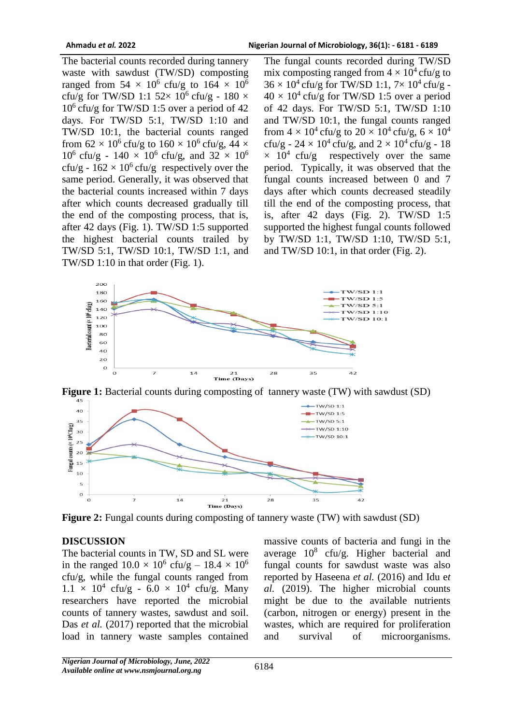The bacterial counts recorded during tannery waste with sawdust (TW/SD) composting ranged from  $54 \times 10^6$  cfu/g to  $164 \times 10^6$ cfu/g for TW/SD 1:1  $52 \times 10^6$  cfu/g - 180  $\times$  $10^6$  cfu/g for TW/SD 1:5 over a period of 42 days. For TW/SD 5:1, TW/SD 1:10 and TW/SD 10:1, the bacterial counts ranged from  $62 \times 10^6$  cfu/g to  $160 \times 10^6$  cfu/g,  $44 \times$  $10^6$  cfu/g -  $140 \times 10^6$  cfu/g, and  $32 \times 10^6$ cfu/g -  $162 \times 10^6$  cfu/g respectively over the same period. Generally, it was observed that the bacterial counts increased within 7 days after which counts decreased gradually till the end of the composting process, that is, after 42 days (Fig. 1). TW/SD 1:5 supported the highest bacterial counts trailed by TW/SD 5:1, TW/SD 10:1, TW/SD 1:1, and TW/SD 1:10 in that order (Fig. 1).

The fungal counts recorded during TW/SD mix composting ranged from  $4 \times 10^4$  cfu/g to  $36 \times 10^4$  cfu/g for TW/SD 1:1,  $7 \times 10^4$  cfu/g - $40 \times 10^4$  cfu/g for TW/SD 1:5 over a period of 42 days. For TW/SD 5:1, TW/SD 1:10 and TW/SD 10:1, the fungal counts ranged from  $4 \times 10^4$  cfu/g to  $20 \times 10^4$  cfu/g,  $6 \times 10^4$ cfu/g -  $24 \times 10^4$  cfu/g, and  $2 \times 10^4$  cfu/g - 18  $\times$  10<sup>4</sup> cfu/g respectively over the same period. Typically, it was observed that the fungal counts increased between 0 and 7 days after which counts decreased steadily till the end of the composting process, that is, after 42 days (Fig. 2). TW/SD 1:5 supported the highest fungal counts followed by TW/SD 1:1, TW/SD 1:10, TW/SD 5:1, and TW/SD 10:1, in that order (Fig. 2).







**Figure 2:** Fungal counts during composting of tannery waste (TW) with sawdust (SD)

# **DISCUSSION**

The bacterial counts in TW, SD and SL were in the ranged  $10.0 \times 10^6$  cfu/g –  $18.4 \times 10^6$ cfu/g, while the fungal counts ranged from  $1.1 \times 10^4$  cfu/g -  $6.0 \times 10^4$  cfu/g. Many researchers have reported the microbial counts of tannery wastes, sawdust and soil. Das *et al.* (2017) reported that the microbial load in tannery waste samples contained

massive counts of bacteria and fungi in the average  $10^8$  cfu/g. Higher bacterial and fungal counts for sawdust waste was also reported by Haseena *et al.* (2016) and Idu e*t al.* (2019). The higher microbial counts might be due to the available nutrients (carbon, nitrogen or energy) present in the wastes, which are required for proliferation and survival of microorganisms.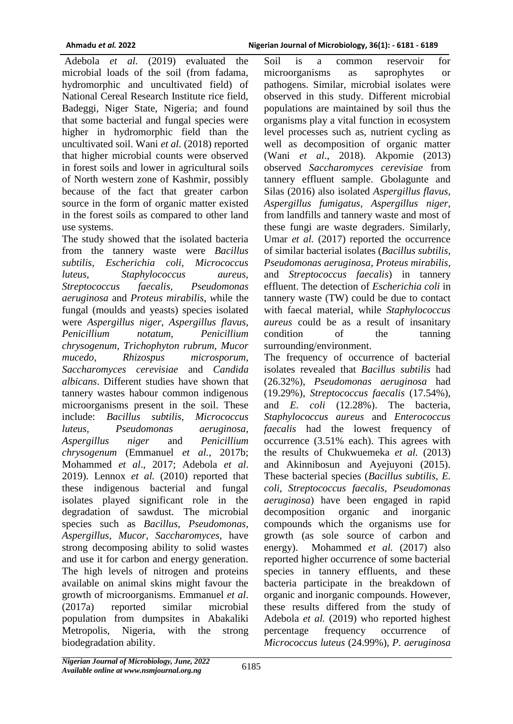Adebola *et al.* (2019) evaluated the microbial loads of the soil (from fadama, hydromorphic and uncultivated field) of National Cereal Research Institute rice field, Badeggi, Niger State, Nigeria; and found that some bacterial and fungal species were higher in hydromorphic field than the uncultivated soil. Wani *et al.* (2018) reported that higher microbial counts were observed in forest soils and lower in agricultural soils of North western zone of Kashmir, possibly because of the fact that greater carbon source in the form of organic matter existed in the forest soils as compared to other land use systems.

The study showed that the isolated bacteria from the tannery waste were *Bacillus subtilis, Escherichia coli, Micrococcus luteus, Staphylococcus aureus, Streptococcus faecalis, Pseudomonas aeruginosa* and *Proteus mirabilis*, *w*hile the fungal (moulds and yeasts) species isolated were *Aspergillus niger, Aspergillus flavus, Penicillium notatum, Penicillium chrysogenum, Trichophyton rubrum, Mucor mucedo, Rhizospus microsporum, Saccharomyces cerevisiae* and *Candida albicans*. Different studies have shown that tannery wastes habour common indigenous microorganisms present in the soil. These include: *Bacillus subtilis, Micrococcus luteus, Pseudomonas aeruginosa, Aspergillus niger* and *Penicillium chrysogenum* (Emmanuel *et al.*, 2017b; Mohammed *et al*., 2017; Adebola *et al*. 2019). Lennox *et al.* (2010) reported that these indigenous bacterial and fungal isolates played significant role in the degradation of sawdust. The microbial species such as *Bacillus, Pseudomonas, Aspergillus, Mucor, Saccharomyces,* have strong decomposing ability to solid wastes and use it for carbon and energy generation. The high levels of nitrogen and proteins available on animal skins might favour the growth of microorganisms. Emmanuel *et al*. (2017a) reported similar microbial population from dumpsites in Abakaliki Metropolis, Nigeria, with the strong biodegradation ability.

Soil is a common reservoir for microorganisms as saprophytes or pathogens. Similar, microbial isolates were observed in this study. Different microbial populations are maintained by soil thus the organisms play a vital function in ecosystem level processes such as, nutrient cycling as well as decomposition of organic matter (Wani *et al*., 2018). Akpomie (2013) observed *Saccharomyces cerevisiae* from tannery effluent sample. Gbolagunte and Silas (2016) also isolated *Aspergillus flavus, Aspergillus fumigatus, Aspergillus niger,*  from landfills and tannery waste and most of these fungi are waste degraders. Similarly, Umar *et al.* (2017) reported the occurrence of similar bacterial isolates (*Bacillus subtilis, Pseudomonas aeruginosa*, *Proteus mirabilis,*  and *Streptococcus faecalis*) in tannery effluent. The detection of *Escherichia coli* in tannery waste (TW) could be due to contact with faecal material, while *Staphylococcus aureus* could be as a result of insanitary condition of the tanning surrounding/environment.

The frequency of occurrence of bacterial isolates revealed that *Bacillus subtilis* had (26.32%), *Pseudomonas aeruginosa* had (19.29%), *Streptococcus faecalis* (17.54%), and *E. coli* (12.28%). The bacteria, *Staphylococcus aureus* and *Enterococcus faecalis* had the lowest frequency of occurrence (3.51% each). This agrees with the results of Chukwuemeka *et al.* (2013) and Akinnibosun and Ayejuyoni (2015). These bacterial species (*Bacillus subtilis, E. coli, Streptococcus faecalis, Pseudomonas aeruginosa*) have been engaged in rapid decomposition organic and inorganic compounds which the organisms use for growth (as sole source of carbon and energy). Mohammed *et al.* (2017) also reported higher occurrence of some bacterial species in tannery effluents, and these bacteria participate in the breakdown of organic and inorganic compounds. However, these results differed from the study of Adebola *et al.* (2019) who reported highest percentage frequency occurrence of *Micrococcus luteus* (24.99%), *P. aeruginosa*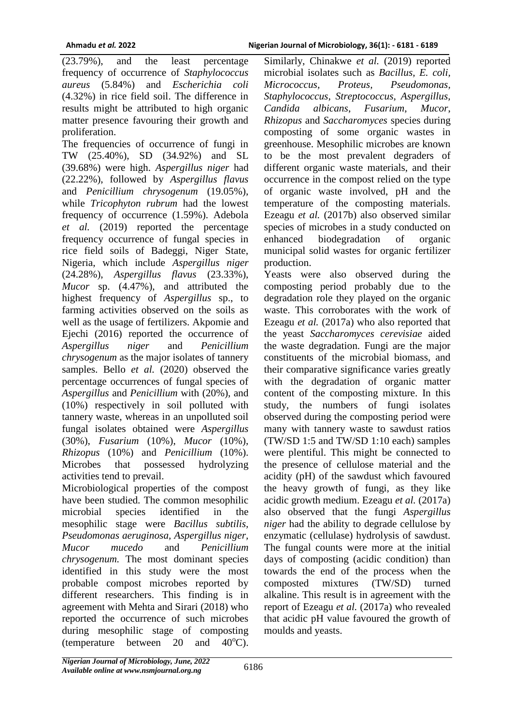(23.79%), and the least percentage frequency of occurrence of *Staphylococcus aureus* (5.84%) and *Escherichia coli*  (4.32%) in rice field soil. The difference in results might be attributed to high organic matter presence favouring their growth and proliferation.

The frequencies of occurrence of fungi in TW (25.40%), SD (34.92%) and SL (39.68%) were high. *Aspergillus niger* had (22.22%), followed by *Aspergillus flavus*  and *Penicillium chrysogenum* (19.05%), while *Tricophyton rubrum* had the lowest frequency of occurrence (1.59%). Adebola *et al.* (2019) reported the percentage frequency occurrence of fungal species in rice field soils of Badeggi, Niger State, Nigeria, which include *Aspergillus niger*  (24.28%), *Aspergillus flavus* (23.33%), *Mucor* sp. (4.47%), and attributed the highest frequency of *Aspergillus* sp., to farming activities observed on the soils as well as the usage of fertilizers. Akpomie and Ejechi (2016) reported the occurrence of *Aspergillus niger* and *Penicillium chrysogenum* as the major isolates of tannery samples. Bello *et al.* (2020) observed the percentage occurrences of fungal species of *Aspergillus* and *Penicillium* with (20%), and (10%) respectively in soil polluted with tannery waste, whereas in an unpolluted soil fungal isolates obtained were *Aspergillus* (30%), *Fusarium* (10%), *Mucor* (10%), *Rhizopus* (10%) and *Penicillium* (10%). Microbes that possessed hydrolyzing activities tend to prevail.

Microbiological properties of the compost have been studied. The common mesophilic microbial species identified in the mesophilic stage were *Bacillus subtilis, Pseudomonas aeruginosa, Aspergillus niger, Mucor mucedo* and *Penicillium chrysogenum.* The most dominant species identified in this study were the most probable compost microbes reported by different researchers. This finding is in agreement with Mehta and Sirari (2018) who reported the occurrence of such microbes during mesophilic stage of composting (temperature between 20 and  $40^{\circ}$ C).

Similarly, Chinakwe et al. (2019) reported microbial isolates such as *Bacillus, E. coli, Micrococcus, Proteus, Pseudomonas, Staphylococcus, Streptococcus, Aspergillus, Candida albicans*, *Fusarium*, *Mucor*, *Rhizopus* and *Saccharomyces* species during composting of some organic wastes in greenhouse. Mesophilic microbes are known to be the most prevalent degraders of different organic waste materials, and their occurrence in the compost relied on the type of organic waste involved, pH and the temperature of the composting materials. Ezeagu *et al.* (2017b) also observed similar species of microbes in a study conducted on enhanced biodegradation of organic municipal solid wastes for organic fertilizer production.

Yeasts were also observed during the composting period probably due to the degradation role they played on the organic waste. This corroborates with the work of Ezeagu *et al.* (2017a) who also reported that the yeast *Saccharomyces cerevisiae* aided the waste degradation. Fungi are the major constituents of the microbial biomass, and their comparative significance varies greatly with the degradation of organic matter content of the composting mixture. In this study, the numbers of fungi isolates observed during the composting period were many with tannery waste to sawdust ratios (TW/SD 1:5 and TW/SD 1:10 each) samples were plentiful. This might be connected to the presence of cellulose material and the acidity (pH) of the sawdust which favoured the heavy growth of fungi, as they like acidic growth medium. Ezeagu *et al.* (2017a) also observed that the fungi *Aspergillus niger* had the ability to degrade cellulose by enzymatic (cellulase) hydrolysis of sawdust. The fungal counts were more at the initial days of composting (acidic condition) than towards the end of the process when the composted mixtures (TW/SD) turned alkaline. This result is in agreement with the report of Ezeagu *et al.* (2017a) who revealed that acidic pH value favoured the growth of moulds and yeasts.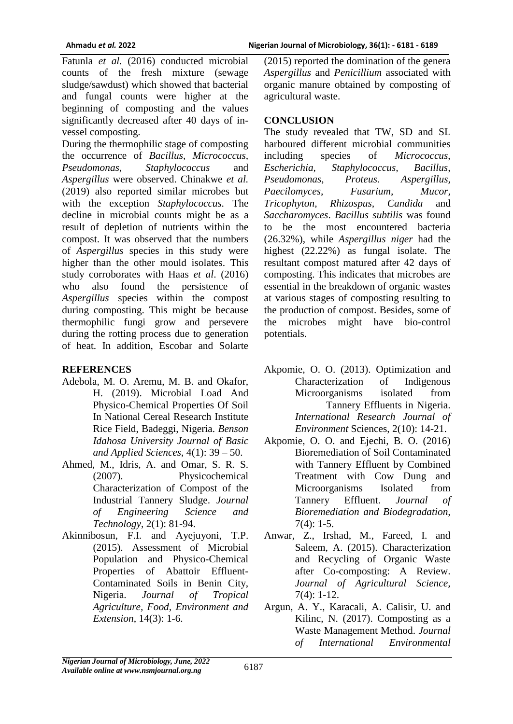Fatunla et al. (2016) conducted microbial counts of the fresh mixture (sewage sludge/sawdust) which showed that bacterial and fungal counts were higher at the beginning of composting and the values significantly decreased after 40 days of invessel composting.

During the thermophilic stage of composting the occurrence of *Bacillus, Micrococcus, Pseudomonas, Staphylococcus* and *Aspergillus* were observed. Chinakwe *et al.*  (2019) also reported similar microbes but with the exception *Staphylococcus.* The decline in microbial counts might be as a result of depletion of nutrients within the compost. It was observed that the numbers of *Aspergillus* species in this study were higher than the other mould isolates. This study corroborates with Haas *et al*. (2016) who also found the persistence of *Aspergillus* species within the compost during composting. This might be because thermophilic fungi grow and persevere during the rotting process due to generation of heat. In addition, Escobar and Solarte

### **REFERENCES**

- Adebola, M. O. Aremu, M. B. and Okafor, H. (2019). Microbial Load And Physico-Chemical Properties Of Soil In National Cereal Research Institute Rice Field, Badeggi, Nigeria. *Benson Idahosa University Journal of Basic and Applied Sciences*, 4(1): 39 – 50.
- Ahmed, M., Idris, A. and Omar, S. R. S. (2007). Physicochemical Characterization of Compost of the Industrial Tannery Sludge. *Journal of Engineering Science and Technology*, 2(1): 81-94.
- Akinnibosun, F.I. and Ayejuyoni, T.P. (2015). Assessment of Microbial Population and Physico-Chemical Properties of Abattoir Effluent-Contaminated Soils in Benin City, Nigeria. *Journal of Tropical Agriculture, Food, Environment and Extension*, 14(3): 1-6.

(2015) reported the domination of the genera *Aspergillus* and *Penicillium* associated with organic manure obtained by composting of agricultural waste.

## **CONCLUSION**

The study revealed that TW, SD and SL harboured different microbial communities including species of *Micrococcus*, *Escherichia, Staphylococcus, Bacillus, Pseudomonas, Proteus. Aspergillus, Paecilomyces, Fusarium, Mucor, Tricophyton, Rhizospus, Candida* and *Saccharomyces*. *Bacillus subtilis* was found to be the most encountered bacteria (26.32%), while *Aspergillus niger* had the highest (22.22%) as fungal isolate. The resultant compost matured after 42 days of composting. This indicates that microbes are essential in the breakdown of organic wastes at various stages of composting resulting to the production of compost. Besides, some of the microbes might have bio-control potentials.

- Akpomie, O. O. (2013). Optimization and Characterization of Indigenous Microorganisms isolated from Tannery Effluents in Nigeria. *International Research Journal of Environment* Sciences, 2(10): 14-21.
- Akpomie, O. O. and Ejechi, B. O. (2016) Bioremediation of Soil Contaminated with Tannery Effluent by Combined Treatment with Cow Dung and Microorganisms Isolated from Tannery Effluent. *Journal of Bioremediation and Biodegradation,*  $7(4): 1-5.$
- Anwar, Z., Irshad, M., Fareed, I. and Saleem, A. (2015). Characterization and Recycling of Organic Waste after Co-composting: A Review. *Journal of Agricultural Science,*  7(4): 1-12.
- Argun, A. Y., Karacali, A. Calisir, U. and Kilinc, N. (2017). Composting as a Waste Management Method. *Journal of International Environmental*

*Nigerian Journal of Microbiology, June, 2022 Available online at www.nsmjournal.org.ng*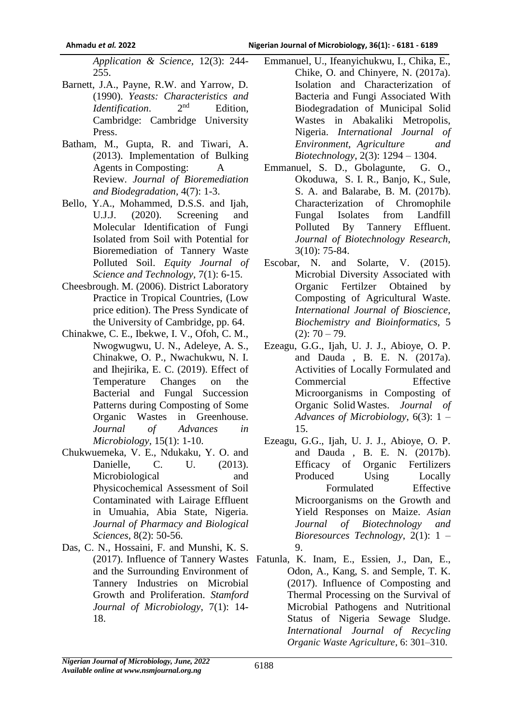*Application & Science,* 12(3): 244- 255.

- Barnett, J.A., Payne, R.W. and Yarrow, D. (1990). *Yeasts: Characteristics and Identification.* Edition, Cambridge: Cambridge University Press.
- Batham, M., Gupta, R. and Tiwari, A. (2013). Implementation of Bulking Agents in Composting: A Review. *Journal of Bioremediation and Biodegradation,* 4(7): 1-3.
- Bello, Y.A., Mohammed, D.S.S. and Ijah, U.J.J. (2020). Screening and Molecular Identification of Fungi Isolated from Soil with Potential for Bioremediation of Tannery Waste Polluted Soil. *Equity Journal of Science and Technology,* 7(1): 6-15.
- Cheesbrough. M. (2006). District Laboratory Practice in Tropical Countries, (Low price edition). The Press Syndicate of the University of Cambridge, pp. 64.
- Chinakwe, C. E., Ibekwe, I. V., Ofoh, C. M., Nwogwugwu, U. N., Adeleye, A. S., Chinakwe, O. P., Nwachukwu, N. I. and Ihejirika, E. C. (2019). Effect of Temperature Changes on the Bacterial and Fungal Succession Patterns during Composting of Some Organic Wastes in Greenhouse. *Journal of Advances in Microbiology,* 15(1): 1-10.
- Chukwuemeka, V. E., Ndukaku, Y. O. and Danielle, C. U. (2013). Microbiological and Physicochemical Assessment of Soil Contaminated with Lairage Effluent in Umuahia, Abia State, Nigeria. *Journal of Pharmacy and Biological Sciences,* 8(2): 50*-*56.
- Das, C. N., Hossaini, F. and Munshi, K. S. and the Surrounding Environment of Tannery Industries on Microbial Growth and Proliferation. *Stamford Journal of Microbiology*, 7(1): 14- 18.
- Emmanuel, U., Ifeanyichukwu, I., Chika, E., Chike, O. and Chinyere, N. (2017a). Isolation and Characterization of Bacteria and Fungi Associated With Biodegradation of Municipal Solid Wastes in Abakaliki Metropolis, Nigeria. *International Journal of Environment, Agriculture and Biotechnology*, 2(3): 1294 – 1304.
- Emmanuel, S. D., Gbolagunte, G. O., Okoduwa, S. I. R., Banjo, K., Sule, S. A. and Balarabe, B. M. (2017b). Characterization of Chromophile Fungal Isolates from Landfill Polluted By Tannery Effluent. *Journal of Biotechnology Research*, 3(10): 75-84.
- Escobar, N. and Solarte, V. (2015). Microbial Diversity Associated with Organic Fertilzer Obtained by Composting of Agricultural Waste. *International Journal of Bioscience, Biochemistry and Bioinformatics,* 5  $(2): 70 - 79.$
- Ezeagu, G.G., Ijah, U. J. J., Abioye, O. P. and Dauda , B. E. N. (2017a). Activities of Locally Formulated and Commercial Effective Microorganisms in Composting of Organic Solid Wastes. *Journal of Advances of Microbiology*, 6(3): 1 – 15.
- Ezeagu, G.G., Ijah, U. J. J., Abioye, O. P. and Dauda , B. E. N. (2017b). Efficacy of Organic Fertilizers Produced Using Locally Formulated Effective Microorganisms on the Growth and Yield Responses on Maize. *Asian Journal of Biotechnology and Bioresources Technology*, 2(1): 1 – 9.
- (2017). Influence of Tannery Wastes Fatunla, K. Inam, E., Essien, J., Dan, E., Odon, A., Kang, S. and Semple, T. K. (2017). Influence of Composting and Thermal Processing on the Survival of Microbial Pathogens and Nutritional Status of Nigeria Sewage Sludge. *International Journal of Recycling Organic Waste Agriculture*, 6: 301–310.